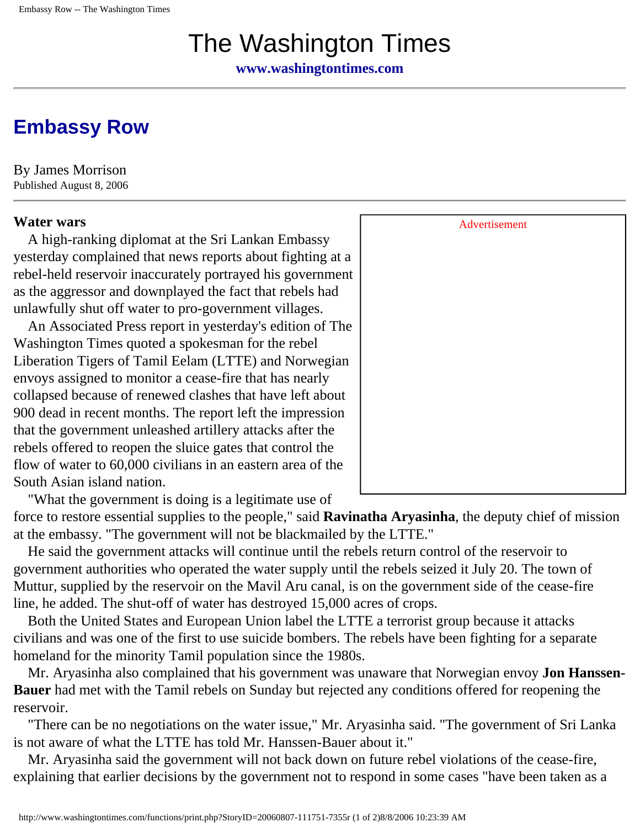# The Washington Times

**[www.washingtontimes.com](http://www.washingtontimes.com/)**

## **[Embassy Row](http://www.washingtontimes.com/world/20060807-111751-7355r.htm)**

By James Morrison Published August 8, 2006

 A high-ranking diplomat at the Sri Lankan Embassy yesterday complained that news reports about fighting at a rebel-held reservoir inaccurately portrayed his government as the aggressor and downplayed the fact that rebels had unlawfully shut off water to pro-government villages.

 An Associated Press report in yesterday's edition of The Washington Times quoted a spokesman for the rebel Liberation Tigers of Tamil Eelam (LTTE) and Norwegian envoys assigned to monitor a cease-fire that has nearly collapsed because of renewed clashes that have left about 900 dead in recent months. The report left the impression that the government unleashed artillery attacks after the rebels offered to reopen the sluice gates that control the flow of water to 60,000 civilians in an eastern area of the South Asian island nation.

 "What the government is doing is a legitimate use of force to restore essential supplies to the people," said **Ravinatha Aryasinha**, the deputy chief of mission

at the embassy. "The government will not be blackmailed by the LTTE." He said the government attacks will continue until the rebels return control of the reservoir to government authorities who operated the water supply until the rebels seized it July 20. The town of Muttur, supplied by the reservoir on the Mavil Aru canal, is on the government side of the cease-fire

line, he added. The shut-off of water has destroyed 15,000 acres of crops.

 Both the United States and European Union label the LTTE a terrorist group because it attacks civilians and was one of the first to use suicide bombers. The rebels have been fighting for a separate homeland for the minority Tamil population since the 1980s.

 Mr. Aryasinha also complained that his government was unaware that Norwegian envoy **Jon Hanssen-Bauer** had met with the Tamil rebels on Sunday but rejected any conditions offered for reopening the reservoir.

 "There can be no negotiations on the water issue," Mr. Aryasinha said. "The government of Sri Lanka is not aware of what the LTTE has told Mr. Hanssen-Bauer about it."

 Mr. Aryasinha said the government will not back down on future rebel violations of the cease-fire, explaining that earlier decisions by the government not to respond in some cases "have been taken as a